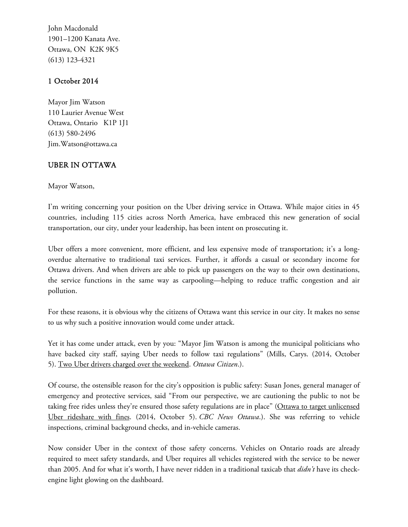John Macdonald 1901–1200 Kanata Ave. Ottawa, ON K2K 9K5 (613) 123-4321

## **1 October 2014**

Mayor Jim Watson 110 Laurier Avenue West Ottawa, Ontario K1P 1J1 (613) 580-2496 Jim.Watson@ottawa.ca

## **UBER IN OTTAWA**

Mayor Watson,

I'm writing concerning your position on the Uber driving service in Ottawa. While major cities in 45 countries, including 115 cities across North America, have embraced this new generation of social transportation, our city, under your leadership, has been intent on prosecuting it.

Uber offers a more convenient, more efficient, and less expensive mode of transportation; it's a longoverdue alternative to traditional taxi services. Further, it affords a casual or secondary income for Ottawa drivers. And when drivers are able to pick up passengers on the way to their own destinations, the service functions in the same way as carpooling—helping to reduce traffic congestion and air pollution.

For these reasons, it is obvious why the citizens of Ottawa want this service in our city. It makes no sense to us why such a positive innovation would come under attack.

Yet it has come under attack, even by you: "Mayor Jim Watson is among the municipal politicians who have backed city staff, saying Uber needs to follow taxi regulations" (Mills, Carys. (2014, October 5). Two Uber drivers charged over the weekend. *Ottawa Citizen*.).

Of course, the ostensible reason for the city's opposition is public safety: Susan Jones, general manager of emergency and protective services, said "From our perspective, we are cautioning the public to not be taking free rides unless they're ensured those safety regulations are in place" (Ottawa to target unlicensed Uber rideshare with fines. (2014, October 5). *CBC News Ottawa*.). She was referring to vehicle inspections, criminal background checks, and in-vehicle cameras.

Now consider Uber in the context of those safety concerns. Vehicles on Ontario roads are already required to meet safety standards, and Uber requires all vehicles registered with the service to be newer than 2005. And for what it's worth, I have never ridden in a traditional taxicab that *didn't* have its check engine light glowing on the dashboard.